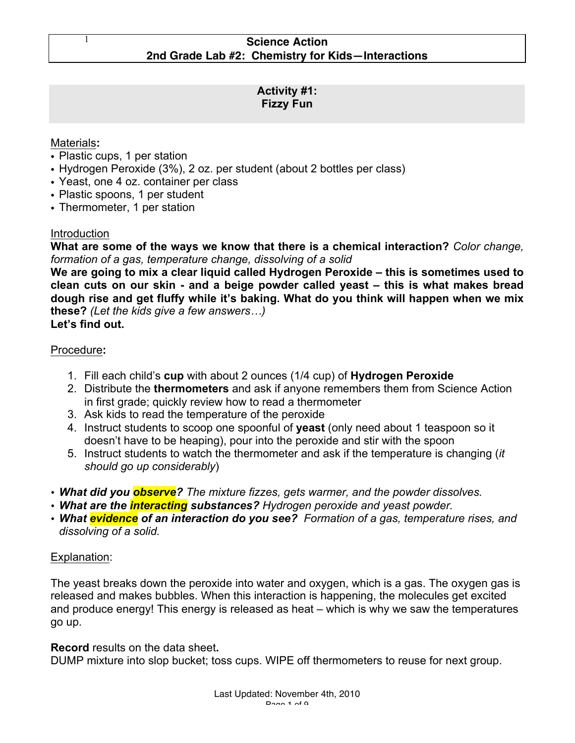# **Activity #1: Fizzy Fun**

# Materials**:**

- Plastic cups, 1 per station
- Hydrogen Peroxide (3%), 2 oz. per student (about 2 bottles per class)
- Yeast, one 4 oz. container per class
- Plastic spoons, 1 per student
- Thermometer, 1 per station

## **Introduction**

**What are some of the ways we know that there is a chemical interaction?** *Color change, formation of a gas, temperature change, dissolving of a solid*

**We are going to mix a clear liquid called Hydrogen Peroxide – this is sometimes used to clean cuts on our skin - and a beige powder called yeast – this is what makes bread dough rise and get fluffy while it's baking. What do you think will happen when we mix these?** *(Let the kids give a few answers…)*

**Let's find out.**

# Procedure**:**

- 1. Fill each child's **cup** with about 2 ounces (1/4 cup) of **Hydrogen Peroxide**
- 2. Distribute the **thermometers** and ask if anyone remembers them from Science Action in first grade; quickly review how to read a thermometer
- 3. Ask kids to read the temperature of the peroxide
- 4. Instruct students to scoop one spoonful of **yeast** (only need about 1 teaspoon so it doesn't have to be heaping), pour into the peroxide and stir with the spoon
- 5. Instruct students to watch the thermometer and ask if the temperature is changing (*it should go up considerably*)
- *What did you observe? The mixture fizzes, gets warmer, and the powder dissolves.*
- *What are the interacting substances? Hydrogen peroxide and yeast powder.*
- *What evidence of an interaction do you see? Formation of a gas, temperature rises, and dissolving of a solid.*

# Explanation:

The yeast breaks down the peroxide into water and oxygen, which is a gas. The oxygen gas is released and makes bubbles. When this interaction is happening, the molecules get excited and produce energy! This energy is released as heat – which is why we saw the temperatures go up.

**Record** results on the data sheet**.** 

DUMP mixture into slop bucket; toss cups. WIPE off thermometers to reuse for next group.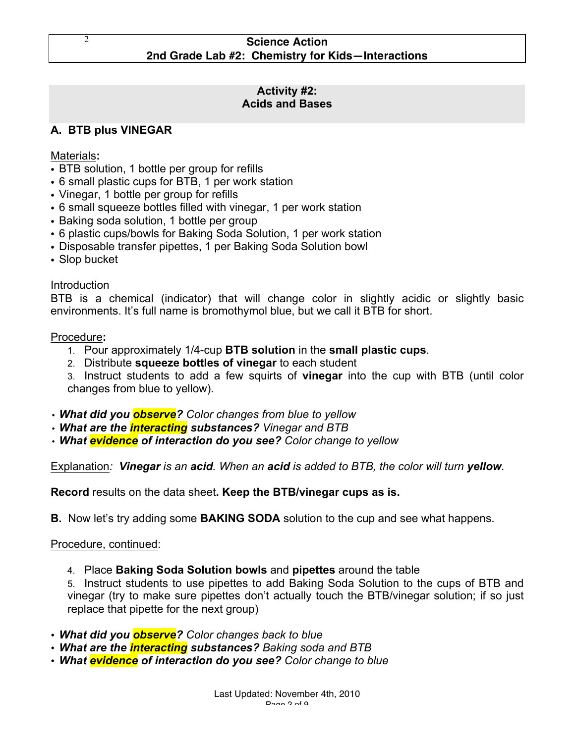#### **Activity #2: Acids and Bases**

# **A. BTB plus VINEGAR**

Materials**:**

- BTB solution, 1 bottle per group for refills
- 6 small plastic cups for BTB, 1 per work station
- Vinegar, 1 bottle per group for refills
- 6 small squeeze bottles filled with vinegar, 1 per work station
- Baking soda solution, 1 bottle per group
- 6 plastic cups/bowls for Baking Soda Solution, 1 per work station
- Disposable transfer pipettes, 1 per Baking Soda Solution bowl
- Slop bucket

# Introduction

BTB is a chemical (indicator) that will change color in slightly acidic or slightly basic environments. It's full name is bromothymol blue, but we call it BTB for short.

## Procedure**:**

- 1. Pour approximately 1/4-cup **BTB solution** in the **small plastic cups**.
- 2. Distribute **squeeze bottles of vinegar** to each student

3. Instruct students to add a few squirts of **vinegar** into the cup with BTB (until color changes from blue to yellow).

- *What did you observe? Color changes from blue to yellow*
- *What are the interacting substances? Vinegar and BTB*
- *What evidence of interaction do you see? Color change to yellow*

Explanation*: Vinegar is an acid. When an acid is added to BTB, the color will turn yellow.*

**Record** results on the data sheet**. Keep the BTB/vinegar cups as is.**

**B.** Now let's try adding some **BAKING SODA** solution to the cup and see what happens.

## Procedure, continued:

4. Place **Baking Soda Solution bowls** and **pipettes** around the table

5. Instruct students to use pipettes to add Baking Soda Solution to the cups of BTB and vinegar (try to make sure pipettes don't actually touch the BTB/vinegar solution; if so just replace that pipette for the next group)

- *What did you observe? Color changes back to blue*
- *What are the interacting substances? Baking soda and BTB*
- *What evidence of interaction do you see? Color change to blue*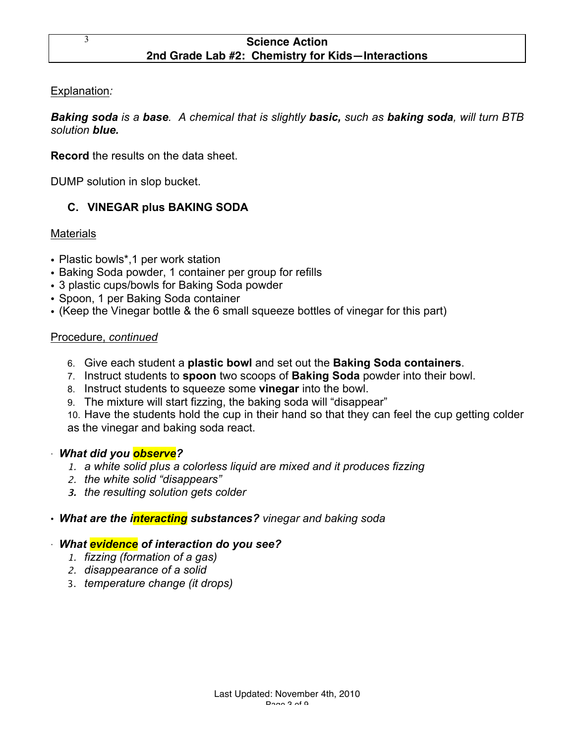Explanation*:* 

*Baking soda is a base. A chemical that is slightly basic, such as baking soda, will turn BTB solution blue.*

**Record** the results on the data sheet.

DUMP solution in slop bucket.

# **C. VINEGAR plus BAKING SODA**

**Materials** 

- Plastic bowls\*,1 per work station
- Baking Soda powder, 1 container per group for refills
- 3 plastic cups/bowls for Baking Soda powder
- Spoon, 1 per Baking Soda container
- (Keep the Vinegar bottle & the 6 small squeeze bottles of vinegar for this part)

# Procedure, *continued*

- 6. Give each student a **plastic bowl** and set out the **Baking Soda containers**.
- 7. Instruct students to **spoon** two scoops of **Baking Soda** powder into their bowl.
- 8. Instruct students to squeeze some **vinegar** into the bowl.
- 9. The mixture will start fizzing, the baking soda will "disappear"

10. Have the students hold the cup in their hand so that they can feel the cup getting colder as the vinegar and baking soda react.

## · *What did you observe?*

- 1. *a white solid plus a colorless liquid are mixed and it produces fizzing*
- 2. *the white solid "disappears"*
- **3.** *the resulting solution gets colder*

# • *What are the interacting substances? vinegar and baking soda*

## · *What evidence of interaction do you see?*

- 1. *fizzing (formation of a gas)*
- 2. *disappearance of a solid*
- 3. *temperature change (it drops)*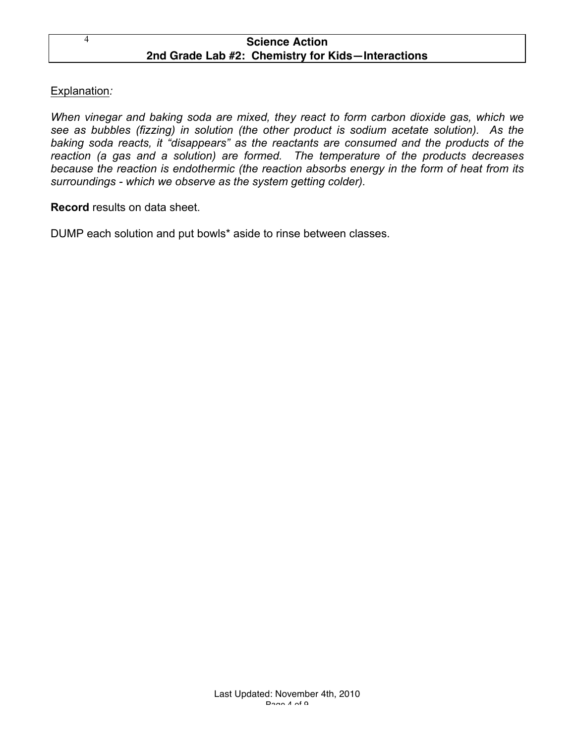# Explanation*:*

*When vinegar and baking soda are mixed, they react to form carbon dioxide gas, which we see as bubbles (fizzing) in solution (the other product is sodium acetate solution). As the baking soda reacts, it "disappears" as the reactants are consumed and the products of the reaction (a gas and a solution) are formed. The temperature of the products decreases because the reaction is endothermic (the reaction absorbs energy in the form of heat from its surroundings - which we observe as the system getting colder).*

## **Record** results on data sheet.

DUMP each solution and put bowls\* aside to rinse between classes.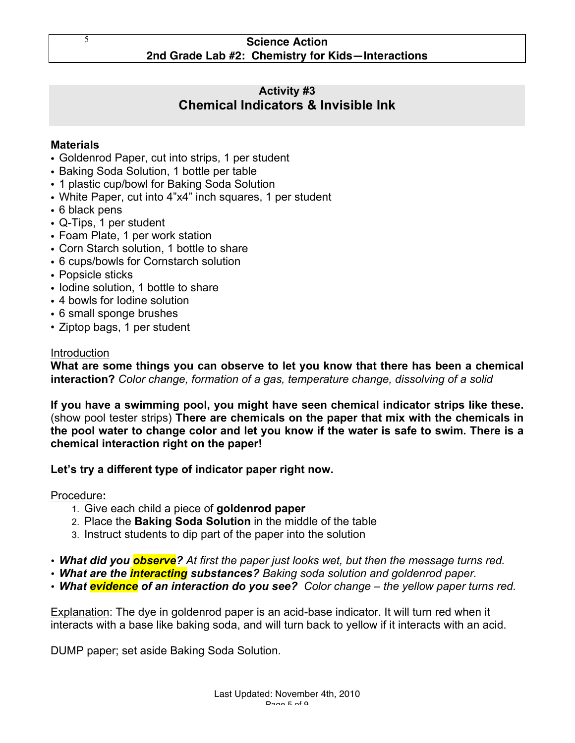# **Activity #3 Chemical Indicators & Invisible Ink**

# **Materials**

- Goldenrod Paper, cut into strips, 1 per student
- Baking Soda Solution, 1 bottle per table
- 1 plastic cup/bowl for Baking Soda Solution
- White Paper, cut into 4"x4" inch squares, 1 per student
- 6 black pens
- Q-Tips, 1 per student
- Foam Plate, 1 per work station
- Corn Starch solution, 1 bottle to share
- 6 cups/bowls for Cornstarch solution
- Popsicle sticks
- Iodine solution, 1 bottle to share
- 4 bowls for Iodine solution
- 6 small sponge brushes
- Ziptop bags, 1 per student

#### Introduction

**What are some things you can observe to let you know that there has been a chemical interaction?** *Color change, formation of a gas, temperature change, dissolving of a solid*

**If you have a swimming pool, you might have seen chemical indicator strips like these.**  (show pool tester strips) **There are chemicals on the paper that mix with the chemicals in the pool water to change color and let you know if the water is safe to swim. There is a chemical interaction right on the paper!**

## **Let's try a different type of indicator paper right now.**

Procedure**:**

- 1. Give each child a piece of **goldenrod paper**
- 2. Place the **Baking Soda Solution** in the middle of the table
- 3. Instruct students to dip part of the paper into the solution
- *What did you observe? At first the paper just looks wet, but then the message turns red.*
- *What are the interacting substances? Baking soda solution and goldenrod paper.*
- *What evidence of an interaction do you see? Color change – the yellow paper turns red.*

Explanation: The dye in goldenrod paper is an acid-base indicator. It will turn red when it interacts with a base like baking soda, and will turn back to yellow if it interacts with an acid.

DUMP paper; set aside Baking Soda Solution.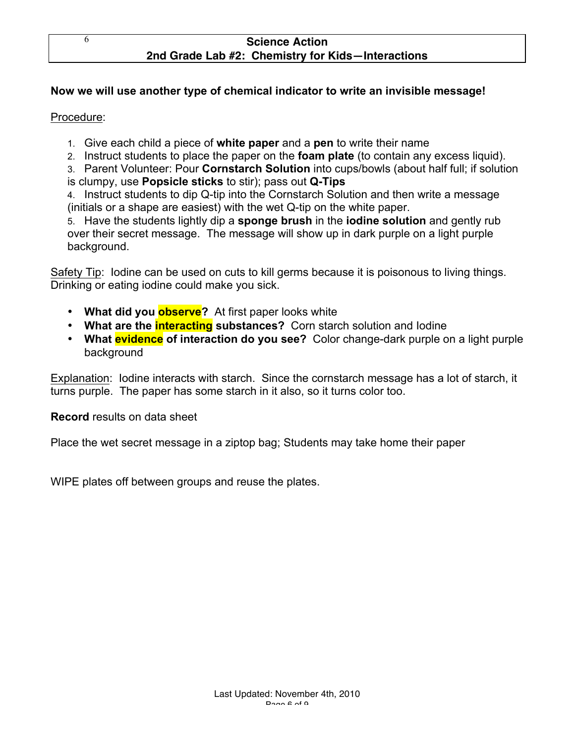# **Now we will use another type of chemical indicator to write an invisible message!**

#### Procedure:

- 1. Give each child a piece of **white paper** and a **pen** to write their name
- 2. Instruct students to place the paper on the **foam plate** (to contain any excess liquid).
- 3. Parent Volunteer: Pour **Cornstarch Solution** into cups/bowls (about half full; if solution
- is clumpy, use **Popsicle sticks** to stir); pass out **Q-Tips**

4. Instruct students to dip Q-tip into the Cornstarch Solution and then write a message (initials or a shape are easiest) with the wet Q-tip on the white paper.

5. Have the students lightly dip a **sponge brush** in the **iodine solution** and gently rub over their secret message. The message will show up in dark purple on a light purple background.

Safety Tip: Iodine can be used on cuts to kill germs because it is poisonous to living things. Drinking or eating iodine could make you sick.

- **What did you observe?** At first paper looks white
- **What are the interacting substances?** Corn starch solution and Iodine
- **What evidence of interaction do you see?** Color change-dark purple on a light purple background

Explanation: Iodine interacts with starch. Since the cornstarch message has a lot of starch, it turns purple. The paper has some starch in it also, so it turns color too.

#### **Record** results on data sheet

Place the wet secret message in a ziptop bag; Students may take home their paper

WIPE plates off between groups and reuse the plates.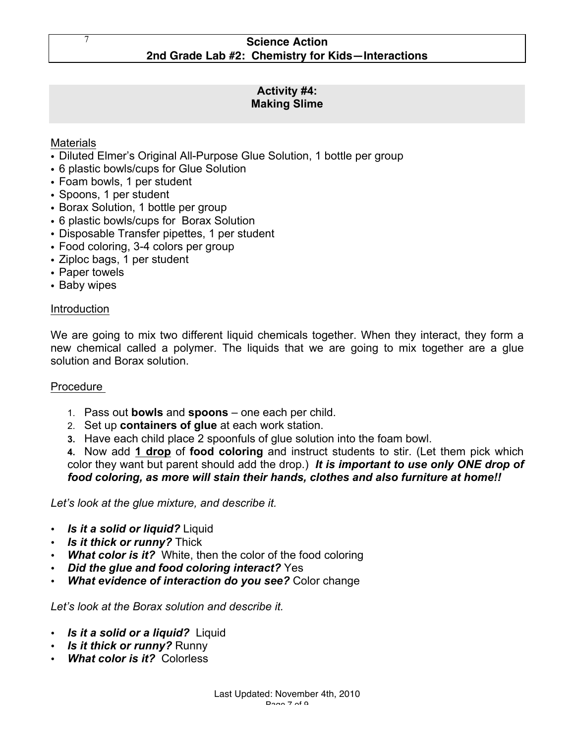# **Activity #4: Making Slime**

# Materials

- Diluted Elmer's Original All-Purpose Glue Solution, 1 bottle per group
- 6 plastic bowls/cups for Glue Solution
- Foam bowls, 1 per student
- Spoons, 1 per student
- Borax Solution, 1 bottle per group
- 6 plastic bowls/cups for Borax Solution
- Disposable Transfer pipettes, 1 per student
- Food coloring, 3-4 colors per group
- Ziploc bags, 1 per student
- Paper towels
- Baby wipes

## Introduction

We are going to mix two different liquid chemicals together. When they interact, they form a new chemical called a polymer. The liquids that we are going to mix together are a glue solution and Borax solution.

## Procedure

- 1. Pass out **bowls** and **spoons** one each per child.
- 2. Set up **containers of glue** at each work station.
- **3.** Have each child place 2 spoonfuls of glue solution into the foam bowl.

**4.** Now add **1 drop** of **food coloring** and instruct students to stir. (Let them pick which color they want but parent should add the drop.) *It is important to use only ONE drop of food coloring, as more will stain their hands, clothes and also furniture at home!!*

*Let's look at the glue mixture, and describe it.* 

- *Is it a solid or liquid?* Liquid
- *Is it thick or runny?* Thick
- *What color is it?* White, then the color of the food coloring
- *Did the glue and food coloring interact?* Yes
- *What evidence of interaction do you see?* Color change

*Let's look at the Borax solution and describe it.* 

- *Is it a solid or a liquid?* Liquid
- *Is it thick or runny?* Runny
- *What color is it?* Colorless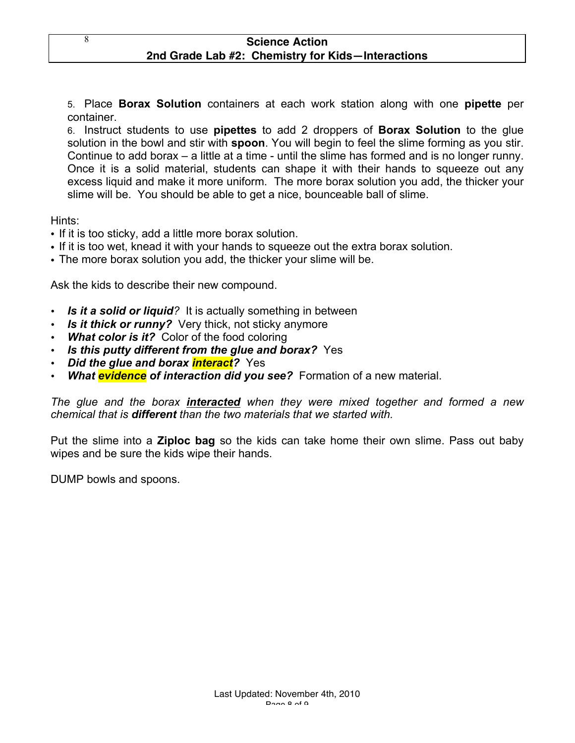5. Place **Borax Solution** containers at each work station along with one **pipette** per container.

6. Instruct students to use **pipettes** to add 2 droppers of **Borax Solution** to the glue solution in the bowl and stir with **spoon**. You will begin to feel the slime forming as you stir. Continue to add borax – a little at a time - until the slime has formed and is no longer runny. Once it is a solid material, students can shape it with their hands to squeeze out any excess liquid and make it more uniform. The more borax solution you add, the thicker your slime will be. You should be able to get a nice, bounceable ball of slime.

Hints:

- If it is too sticky, add a little more borax solution.
- If it is too wet, knead it with your hands to squeeze out the extra borax solution.
- The more borax solution you add, the thicker your slime will be.

Ask the kids to describe their new compound.

- *Is it a solid or liquid?* It is actually something in between
- **Is it thick or runny?** Very thick, not sticky anymore
- **What color is it?** Color of the food coloring
- *Is this putty different from the glue and borax?* Yes
- *Did the glue and borax interact?* Yes
- *What evidence of interaction did you see?* Formation of a new material.

*The glue and the borax interacted when they were mixed together and formed a new chemical that is different than the two materials that we started with.* 

Put the slime into a **Ziploc bag** so the kids can take home their own slime. Pass out baby wipes and be sure the kids wipe their hands.

DUMP bowls and spoons.